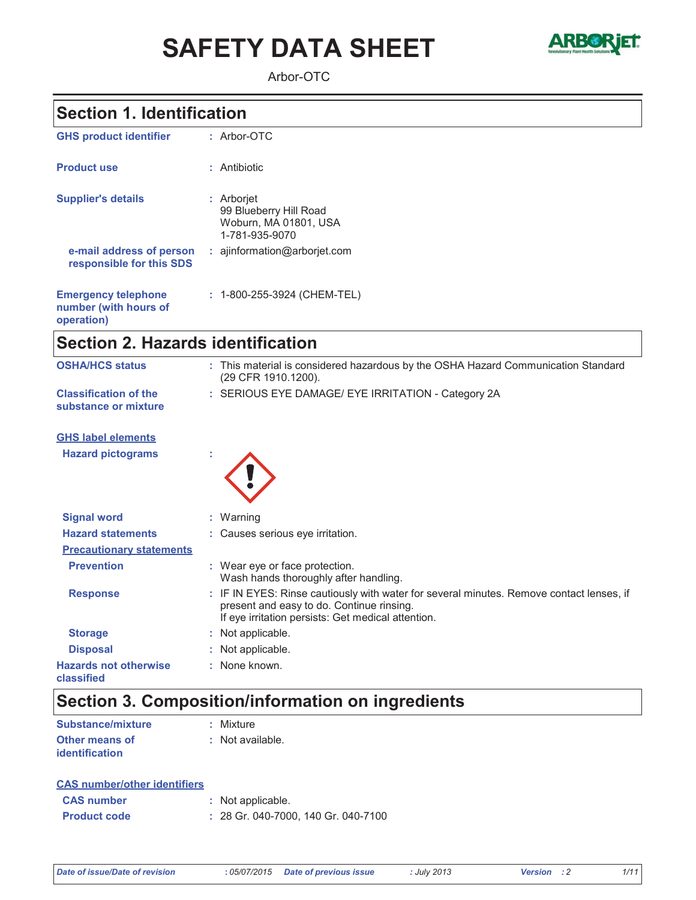# **SAFETY DATA SHEET**



Arbor-OTC

### **Section 1. Identification**

| <b>GHS product identifier</b>                                     | $:$ Arbor-OTC                                                                   |
|-------------------------------------------------------------------|---------------------------------------------------------------------------------|
| <b>Product use</b>                                                | : Antibiotic                                                                    |
| <b>Supplier's details</b>                                         | : Arborjet<br>99 Blueberry Hill Road<br>Woburn. MA 01801. USA<br>1-781-935-9070 |
| e-mail address of person<br>responsible for this SDS              | $:$ ajinformation@arboriet.com                                                  |
| <b>Emergency telephone</b><br>number (with hours of<br>operation) | : 1-800-255-3924 (CHEM-TEL)                                                     |

## Section 2. Hazards identification

| <b>OSHA/HCS status</b>                               | : This material is considered hazardous by the OSHA Hazard Communication Standard<br>(29 CFR 1910.1200).                                                                                    |
|------------------------------------------------------|---------------------------------------------------------------------------------------------------------------------------------------------------------------------------------------------|
| <b>Classification of the</b><br>substance or mixture | : SERIOUS EYE DAMAGE/ EYE IRRITATION - Category 2A                                                                                                                                          |
| <b>GHS label elements</b>                            |                                                                                                                                                                                             |
| <b>Hazard pictograms</b>                             |                                                                                                                                                                                             |
| <b>Signal word</b>                                   | : Warning                                                                                                                                                                                   |
| <b>Hazard statements</b>                             | : Causes serious eye irritation.                                                                                                                                                            |
| <b>Precautionary statements</b>                      |                                                                                                                                                                                             |
| <b>Prevention</b>                                    | : Wear eye or face protection.<br>Wash hands thoroughly after handling.                                                                                                                     |
| <b>Response</b>                                      | : IF IN EYES: Rinse cautiously with water for several minutes. Remove contact lenses, if<br>present and easy to do. Continue rinsing.<br>If eye irritation persists: Get medical attention. |
| <b>Storage</b>                                       | : Not applicable.                                                                                                                                                                           |
| <b>Disposal</b>                                      | : Not applicable.                                                                                                                                                                           |
| <b>Hazards not otherwise</b><br>classified           | : None known.                                                                                                                                                                               |

### Section 3. Composition/information on ingredients

| Substance/mixture     | : Mixture        |
|-----------------------|------------------|
| <b>Other means of</b> | : Not available. |
| identification        |                  |

### **CAS number/other identifiers**

| <b>CAS number</b>   | : Not applicable.                   |  |
|---------------------|-------------------------------------|--|
| <b>Product code</b> | : 28 Gr. 040-7000, 140 Gr. 040-7100 |  |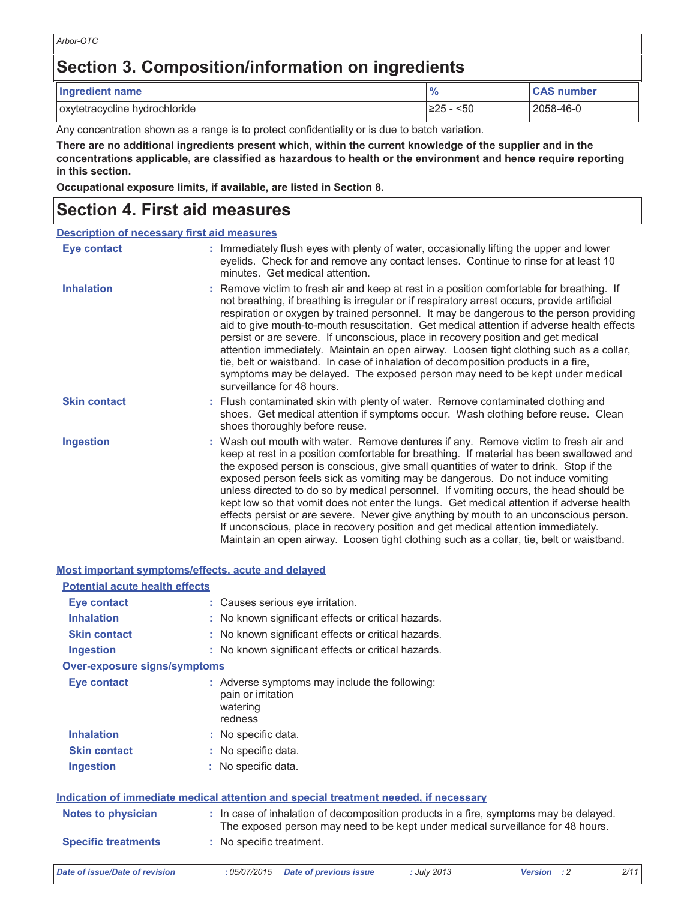## Section 3. Composition/information on ingredients

| Ingredient name               | $\frac{9}{6}$ | <b>CAS number</b> |
|-------------------------------|---------------|-------------------|
| oxytetracycline hydrochloride | <50<br>≥25    | 2058-46-0         |

Any concentration shown as a range is to protect confidentiality or is due to batch variation.

There are no additional ingredients present which, within the current knowledge of the supplier and in the concentrations applicable, are classified as hazardous to health or the environment and hence require reporting in this section.

Occupational exposure limits, if available, are listed in Section 8.

### **Section 4. First aid measures**

| <b>Description of necessary first aid measures</b> |                                                                                                                                                                                                                                                                                                                                                                                                                                                                                                                                                                                                                                                                                                                                                                                                                           |
|----------------------------------------------------|---------------------------------------------------------------------------------------------------------------------------------------------------------------------------------------------------------------------------------------------------------------------------------------------------------------------------------------------------------------------------------------------------------------------------------------------------------------------------------------------------------------------------------------------------------------------------------------------------------------------------------------------------------------------------------------------------------------------------------------------------------------------------------------------------------------------------|
| Eye contact                                        | : Immediately flush eyes with plenty of water, occasionally lifting the upper and lower<br>eyelids. Check for and remove any contact lenses. Continue to rinse for at least 10<br>minutes. Get medical attention.                                                                                                                                                                                                                                                                                                                                                                                                                                                                                                                                                                                                         |
| <b>Inhalation</b>                                  | : Remove victim to fresh air and keep at rest in a position comfortable for breathing. If<br>not breathing, if breathing is irregular or if respiratory arrest occurs, provide artificial<br>respiration or oxygen by trained personnel. It may be dangerous to the person providing<br>aid to give mouth-to-mouth resuscitation. Get medical attention if adverse health effects<br>persist or are severe. If unconscious, place in recovery position and get medical<br>attention immediately. Maintain an open airway. Loosen tight clothing such as a collar,<br>tie, belt or waistband. In case of inhalation of decomposition products in a fire,<br>symptoms may be delayed. The exposed person may need to be kept under medical<br>surveillance for 48 hours.                                                    |
| <b>Skin contact</b>                                | : Flush contaminated skin with plenty of water. Remove contaminated clothing and<br>shoes. Get medical attention if symptoms occur. Wash clothing before reuse. Clean<br>shoes thoroughly before reuse.                                                                                                                                                                                                                                                                                                                                                                                                                                                                                                                                                                                                                   |
| <b>Ingestion</b>                                   | : Wash out mouth with water. Remove dentures if any. Remove victim to fresh air and<br>keep at rest in a position comfortable for breathing. If material has been swallowed and<br>the exposed person is conscious, give small quantities of water to drink. Stop if the<br>exposed person feels sick as vomiting may be dangerous. Do not induce vomiting<br>unless directed to do so by medical personnel. If vomiting occurs, the head should be<br>kept low so that vomit does not enter the lungs. Get medical attention if adverse health<br>effects persist or are severe. Never give anything by mouth to an unconscious person.<br>If unconscious, place in recovery position and get medical attention immediately.<br>Maintain an open airway. Loosen tight clothing such as a collar, tie, belt or waistband. |

| <u>Most important symptoms/effects, acute and delayed</u>                            |                                           |                                                     |             |                                                                                                                                                                          |      |
|--------------------------------------------------------------------------------------|-------------------------------------------|-----------------------------------------------------|-------------|--------------------------------------------------------------------------------------------------------------------------------------------------------------------------|------|
| <b>Potential acute health effects</b>                                                |                                           |                                                     |             |                                                                                                                                                                          |      |
| Eye contact                                                                          |                                           | : Causes serious eye irritation.                    |             |                                                                                                                                                                          |      |
| <b>Inhalation</b>                                                                    |                                           | : No known significant effects or critical hazards. |             |                                                                                                                                                                          |      |
| <b>Skin contact</b>                                                                  |                                           | : No known significant effects or critical hazards. |             |                                                                                                                                                                          |      |
| <b>Ingestion</b>                                                                     |                                           | : No known significant effects or critical hazards. |             |                                                                                                                                                                          |      |
| Over-exposure signs/symptoms                                                         |                                           |                                                     |             |                                                                                                                                                                          |      |
| Eye contact                                                                          | pain or irritation<br>watering<br>redness | : Adverse symptoms may include the following:       |             |                                                                                                                                                                          |      |
| <b>Inhalation</b>                                                                    | : No specific data.                       |                                                     |             |                                                                                                                                                                          |      |
| <b>Skin contact</b>                                                                  | : No specific data.                       |                                                     |             |                                                                                                                                                                          |      |
| <b>Ingestion</b>                                                                     | : No specific data.                       |                                                     |             |                                                                                                                                                                          |      |
| Indication of immediate medical attention and special treatment needed, if necessary |                                           |                                                     |             |                                                                                                                                                                          |      |
| <b>Notes to physician</b>                                                            |                                           |                                                     |             | : In case of inhalation of decomposition products in a fire, symptoms may be delayed.<br>The exposed person may need to be kept under medical surveillance for 48 hours. |      |
| <b>Specific treatments</b>                                                           | : No specific treatment.                  |                                                     |             |                                                                                                                                                                          |      |
| Date of issue/Date of revision                                                       | :05/07/2015                               | <b>Date of previous issue</b>                       | : July 2013 | Version : 2                                                                                                                                                              | 2/11 |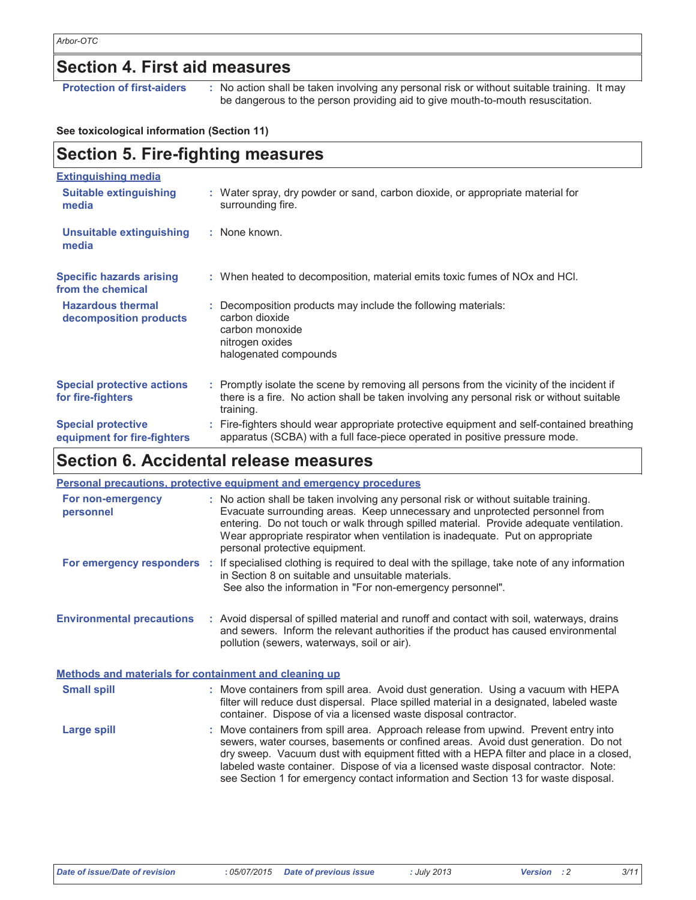### **Section 4. First aid measures**

**Protection of first-aiders** 

: No action shall be taken involving any personal risk or without suitable training. It may be dangerous to the person providing aid to give mouth-to-mouth resuscitation.

#### See toxicological information (Section 11)

#### **Section 5. Fire-fighting measures Extinguishing media Suitable extinguishing** : Water spray, dry powder or sand, carbon dioxide, or appropriate material for media surrounding fire. : None known. **Unsuitable extinguishing** media **Specific hazards arising** : When heated to decomposition, material emits toxic fumes of NOx and HCI. from the chemical **Hazardous thermal** : Decomposition products may include the following materials: decomposition products carbon dioxide carbon monoxide nitrogen oxides halogenated compounds **Special protective actions** Promptly isolate the scene by removing all persons from the vicinity of the incident if t, there is a fire. No action shall be taken involving any personal risk or without suitable for fire-fighters training. **Special protective** : Fire-fighters should wear appropriate protective equipment and self-contained breathing apparatus (SCBA) with a full face-piece operated in positive pressure mode. equipment for fire-fighters

### Section 6. Accidental release measures

|                                                       | <b>Personal precautions, protective equipment and emergency procedures</b>                                                                                                                                                                                                                                                                                                                                                                      |
|-------------------------------------------------------|-------------------------------------------------------------------------------------------------------------------------------------------------------------------------------------------------------------------------------------------------------------------------------------------------------------------------------------------------------------------------------------------------------------------------------------------------|
| For non-emergency<br>personnel                        | : No action shall be taken involving any personal risk or without suitable training.<br>Evacuate surrounding areas. Keep unnecessary and unprotected personnel from<br>entering. Do not touch or walk through spilled material. Provide adequate ventilation.<br>Wear appropriate respirator when ventilation is inadequate. Put on appropriate<br>personal protective equipment.                                                               |
|                                                       | For emergency responders : If specialised clothing is required to deal with the spillage, take note of any information<br>in Section 8 on suitable and unsuitable materials.<br>See also the information in "For non-emergency personnel".                                                                                                                                                                                                      |
| <b>Environmental precautions</b>                      | : Avoid dispersal of spilled material and runoff and contact with soil, waterways, drains<br>and sewers. Inform the relevant authorities if the product has caused environmental<br>pollution (sewers, waterways, soil or air).                                                                                                                                                                                                                 |
| Methods and materials for containment and cleaning up |                                                                                                                                                                                                                                                                                                                                                                                                                                                 |
| <b>Small spill</b>                                    | : Move containers from spill area. Avoid dust generation. Using a vacuum with HEPA<br>filter will reduce dust dispersal. Place spilled material in a designated, labeled waste<br>container. Dispose of via a licensed waste disposal contractor.                                                                                                                                                                                               |
| <b>Large spill</b>                                    | : Move containers from spill area. Approach release from upwind. Prevent entry into<br>sewers, water courses, basements or confined areas. Avoid dust generation. Do not<br>dry sweep. Vacuum dust with equipment fitted with a HEPA filter and place in a closed,<br>labeled waste container. Dispose of via a licensed waste disposal contractor. Note:<br>see Section 1 for emergency contact information and Section 13 for waste disposal. |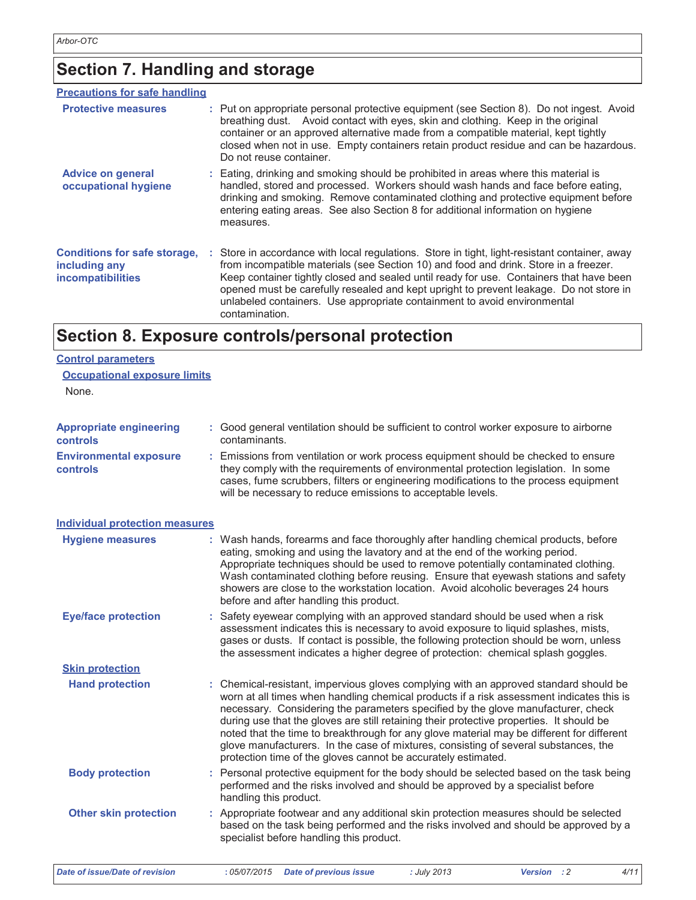**Control parameters** 

# Section 7. Handling and storage

| : Put on appropriate personal protective equipment (see Section 8). Do not ingest. Avoid<br>breathing dust. Avoid contact with eyes, skin and clothing. Keep in the original<br>container or an approved alternative made from a compatible material, kept tightly<br>closed when not in use. Empty containers retain product residue and can be hazardous.<br>Do not reuse container.                                                                                   |
|--------------------------------------------------------------------------------------------------------------------------------------------------------------------------------------------------------------------------------------------------------------------------------------------------------------------------------------------------------------------------------------------------------------------------------------------------------------------------|
| : Eating, drinking and smoking should be prohibited in areas where this material is<br>handled, stored and processed. Workers should wash hands and face before eating,<br>drinking and smoking. Remove contaminated clothing and protective equipment before<br>entering eating areas. See also Section 8 for additional information on hygiene<br>measures.                                                                                                            |
| : Store in accordance with local regulations. Store in tight, light-resistant container, away<br>from incompatible materials (see Section 10) and food and drink. Store in a freezer.<br>Keep container tightly closed and sealed until ready for use. Containers that have been<br>opened must be carefully resealed and kept upright to prevent leakage. Do not store in<br>unlabeled containers. Use appropriate containment to avoid environmental<br>contamination. |
|                                                                                                                                                                                                                                                                                                                                                                                                                                                                          |

## Section 8. Exposure controls/personal protection

| <b>Occupational exposure limits</b>               |                                                                                                                                                                                                                                                                                                                                                                                                                                                                                                                                                                                                                        |
|---------------------------------------------------|------------------------------------------------------------------------------------------------------------------------------------------------------------------------------------------------------------------------------------------------------------------------------------------------------------------------------------------------------------------------------------------------------------------------------------------------------------------------------------------------------------------------------------------------------------------------------------------------------------------------|
| None.                                             |                                                                                                                                                                                                                                                                                                                                                                                                                                                                                                                                                                                                                        |
| <b>Appropriate engineering</b><br><b>controls</b> | : Good general ventilation should be sufficient to control worker exposure to airborne<br>contaminants.                                                                                                                                                                                                                                                                                                                                                                                                                                                                                                                |
| <b>Environmental exposure</b><br>controls         | : Emissions from ventilation or work process equipment should be checked to ensure<br>they comply with the requirements of environmental protection legislation. In some<br>cases, fume scrubbers, filters or engineering modifications to the process equipment<br>will be necessary to reduce emissions to acceptable levels.                                                                                                                                                                                                                                                                                        |
| <b>Individual protection measures</b>             |                                                                                                                                                                                                                                                                                                                                                                                                                                                                                                                                                                                                                        |
| <b>Hygiene measures</b>                           | : Wash hands, forearms and face thoroughly after handling chemical products, before<br>eating, smoking and using the lavatory and at the end of the working period.<br>Appropriate techniques should be used to remove potentially contaminated clothing.<br>Wash contaminated clothing before reusing. Ensure that eyewash stations and safety<br>showers are close to the workstation location. Avoid alcoholic beverages 24 hours<br>before and after handling this product.                                                                                                                                        |
| <b>Eye/face protection</b>                        | Safety eyewear complying with an approved standard should be used when a risk<br>assessment indicates this is necessary to avoid exposure to liquid splashes, mists,<br>gases or dusts. If contact is possible, the following protection should be worn, unless<br>the assessment indicates a higher degree of protection: chemical splash goggles.                                                                                                                                                                                                                                                                    |
| <b>Skin protection</b>                            |                                                                                                                                                                                                                                                                                                                                                                                                                                                                                                                                                                                                                        |
| <b>Hand protection</b>                            | : Chemical-resistant, impervious gloves complying with an approved standard should be<br>worn at all times when handling chemical products if a risk assessment indicates this is<br>necessary. Considering the parameters specified by the glove manufacturer, check<br>during use that the gloves are still retaining their protective properties. It should be<br>noted that the time to breakthrough for any glove material may be different for different<br>glove manufacturers. In the case of mixtures, consisting of several substances, the<br>protection time of the gloves cannot be accurately estimated. |
| <b>Body protection</b>                            | : Personal protective equipment for the body should be selected based on the task being<br>performed and the risks involved and should be approved by a specialist before<br>handling this product.                                                                                                                                                                                                                                                                                                                                                                                                                    |
| <b>Other skin protection</b>                      | : Appropriate footwear and any additional skin protection measures should be selected<br>based on the task being performed and the risks involved and should be approved by a<br>specialist before handling this product.                                                                                                                                                                                                                                                                                                                                                                                              |
| Date of issue/Date of revision                    | :05/07/2015<br>: July 2013<br>Version : 2<br>4/11<br><b>Date of previous issue</b>                                                                                                                                                                                                                                                                                                                                                                                                                                                                                                                                     |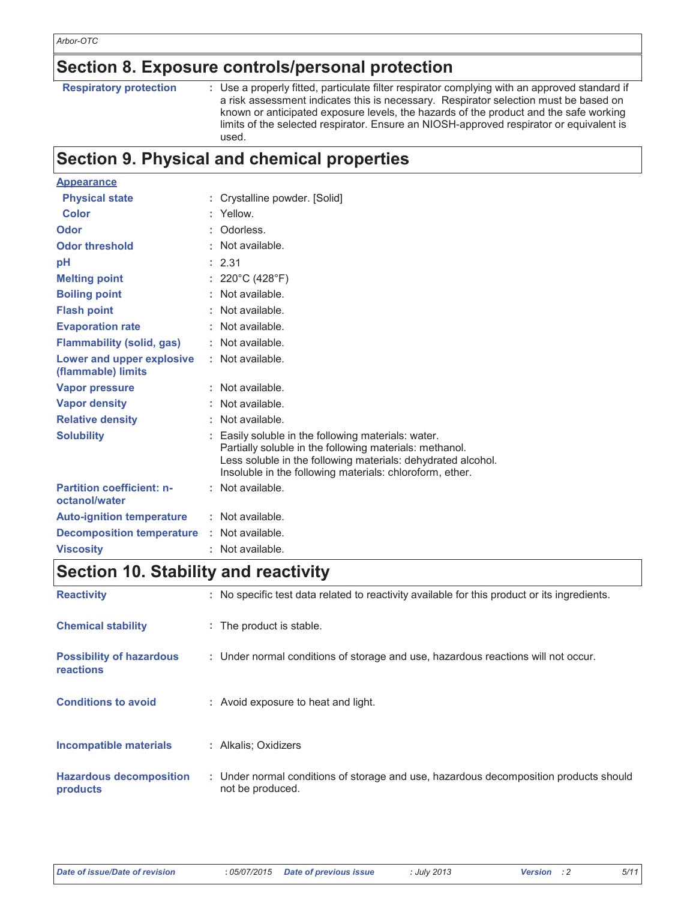### Section 8. Exposure controls/personal protection

**Respiratory protection** 

: Use a properly fitted, particulate filter respirator complying with an approved standard if a risk assessment indicates this is necessary. Respirator selection must be based on known or anticipated exposure levels, the hazards of the product and the safe working limits of the selected respirator. Ensure an NIOSH-approved respirator or equivalent is used.

### **Section 9. Physical and chemical properties**

| <b>Appearance</b>                                 |                                                                                                                                                                                                                                          |
|---------------------------------------------------|------------------------------------------------------------------------------------------------------------------------------------------------------------------------------------------------------------------------------------------|
| <b>Physical state</b>                             | Crystalline powder. [Solid]                                                                                                                                                                                                              |
| <b>Color</b>                                      | Yellow.                                                                                                                                                                                                                                  |
| Odor                                              | Odorless.                                                                                                                                                                                                                                |
| <b>Odor threshold</b>                             | Not available.                                                                                                                                                                                                                           |
| рH                                                | 2.31                                                                                                                                                                                                                                     |
| <b>Melting point</b>                              | 220°C (428°F)                                                                                                                                                                                                                            |
| <b>Boiling point</b>                              | Not available.                                                                                                                                                                                                                           |
| <b>Flash point</b>                                | Not available.                                                                                                                                                                                                                           |
| <b>Evaporation rate</b>                           | : Not available.                                                                                                                                                                                                                         |
| <b>Flammability (solid, gas)</b>                  | : Not available.                                                                                                                                                                                                                         |
| Lower and upper explosive<br>(flammable) limits   | : Not available.                                                                                                                                                                                                                         |
| <b>Vapor pressure</b>                             | : Not available.                                                                                                                                                                                                                         |
| <b>Vapor density</b>                              | Not available.                                                                                                                                                                                                                           |
| <b>Relative density</b>                           | Not available.                                                                                                                                                                                                                           |
| <b>Solubility</b>                                 | Easily soluble in the following materials: water.<br>Partially soluble in the following materials: methanol.<br>Less soluble in the following materials: dehydrated alcohol.<br>Insoluble in the following materials: chloroform, ether. |
| <b>Partition coefficient: n-</b><br>octanol/water | : Not available.                                                                                                                                                                                                                         |
| <b>Auto-ignition temperature</b>                  | : Not available.                                                                                                                                                                                                                         |
| <b>Decomposition temperature</b>                  | : Not available.                                                                                                                                                                                                                         |
| <b>Viscositv</b>                                  | Not available.                                                                                                                                                                                                                           |

### **Section 10. Stability and reactivity**

| <b>Reactivity</b>                                   | : No specific test data related to reactivity available for this product or its ingredients.              |
|-----------------------------------------------------|-----------------------------------------------------------------------------------------------------------|
| <b>Chemical stability</b>                           | : The product is stable.                                                                                  |
| <b>Possibility of hazardous</b><br><b>reactions</b> | : Under normal conditions of storage and use, hazardous reactions will not occur.                         |
| <b>Conditions to avoid</b>                          | : Avoid exposure to heat and light.                                                                       |
| Incompatible materials                              | : Alkalis; Oxidizers                                                                                      |
| <b>Hazardous decomposition</b><br>products          | : Under normal conditions of storage and use, hazardous decomposition products should<br>not be produced. |

 $5/11$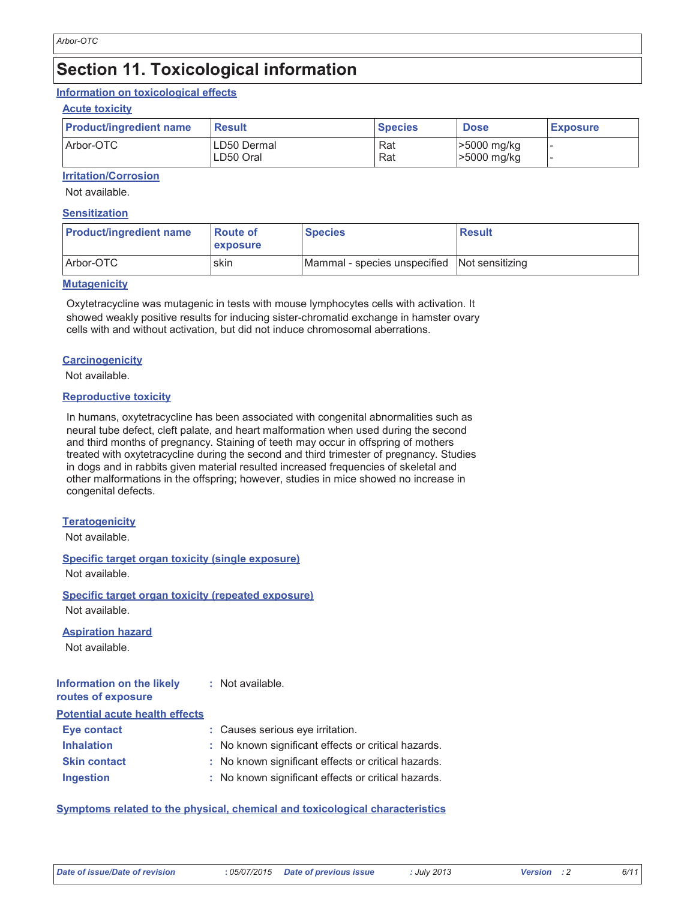### **Section 11. Toxicological information**

#### Information on toxicological effects

#### **Acute toxicity**

| <b>Product/ingredient name</b> | <b>Result</b>            | <b>Species</b> | <b>Dose</b>                | <b>Exposure</b> |
|--------------------------------|--------------------------|----------------|----------------------------|-----------------|
| Arbor-OTC                      | LD50 Dermal<br>LD50 Oral | Rat<br>Rat     | >5000 mg/kg<br>>5000 mg/kg |                 |

### **Irritation/Corrosion**

Not available.

#### **Sensitization**

| <b>Product/ingredient name</b> | <b>Route of</b><br><b>exposure</b> | <b>Species</b>                               | <b>Result</b> |
|--------------------------------|------------------------------------|----------------------------------------------|---------------|
| Arbor-OTC                      | skin                               | Mammal - species unspecified Not sensitizing |               |

#### **Mutagenicity**

Oxytetracycline was mutagenic in tests with mouse lymphocytes cells with activation. It showed weakly positive results for inducing sister-chromatid exchange in hamster ovary cells with and without activation, but did not induce chromosomal aberrations.

#### **Carcinogenicity**

Not available.

#### **Reproductive toxicity**

In humans, oxytetracycline has been associated with congenital abnormalities such as neural tube defect, cleft palate, and heart malformation when used during the second and third months of pregnancy. Staining of teeth may occur in offspring of mothers treated with oxytetracycline during the second and third trimester of pregnancy. Studies in dogs and in rabbits given material resulted increased frequencies of skeletal and other malformations in the offspring; however, studies in mice showed no increase in congenital defects.

#### **Teratogenicity**

Not available.

#### **Specific target organ toxicity (single exposure)**

Not available.

#### Specific target organ toxicity (repeated exposure) Not available.

**Aspiration hazard** 

Not available.

#### Information on the likely : Not available. routes of exposure **Potential acute health effects Eye contact** : Causes serious eye irritation.

| <b>Inhalation</b>   | : No known significant effects or critical hazards. |
|---------------------|-----------------------------------------------------|
| <b>Skin contact</b> | : No known significant effects or critical hazards. |
| <b>Ingestion</b>    | : No known significant effects or critical hazards. |

### Symptoms related to the physical, chemical and toxicological characteristics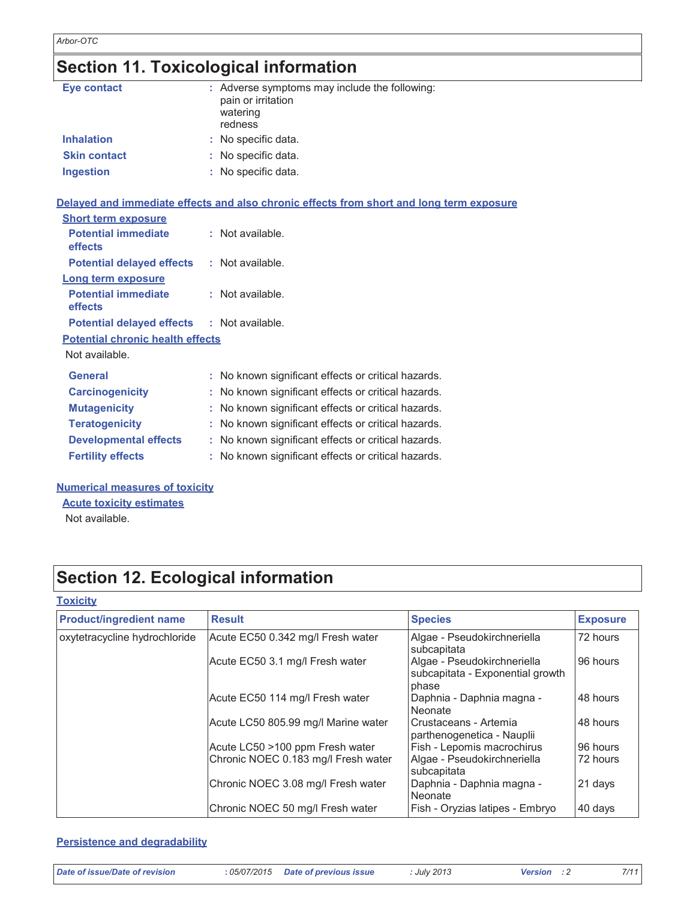# Section 11. Toxicological information

| <b>Eye contact</b>                      | : Adverse symptoms may include the following:<br>pain or irritation<br>watering<br>redness |
|-----------------------------------------|--------------------------------------------------------------------------------------------|
| <b>Inhalation</b>                       | : No specific data.                                                                        |
| <b>Skin contact</b>                     | : No specific data.                                                                        |
| <b>Ingestion</b>                        | No specific data.                                                                          |
|                                         | Delayed and immediate effects and also chronic effects from short and long term exposure   |
| <b>Short term exposure</b>              |                                                                                            |
| <b>Potential immediate</b><br>effects   | : Not available.                                                                           |
| <b>Potential delayed effects</b>        | : Not available.                                                                           |
| Long term exposure                      |                                                                                            |
| <b>Potential immediate</b><br>effects   | : Not available.                                                                           |
| <b>Potential delayed effects</b>        | : Not available.                                                                           |
| <b>Potential chronic health effects</b> |                                                                                            |
| Not available.                          |                                                                                            |
| <b>General</b>                          | : No known significant effects or critical hazards.                                        |
| <b>Carcinogenicity</b>                  | No known significant effects or critical hazards.                                          |
| <b>Mutagenicity</b>                     | No known significant effects or critical hazards.                                          |
| <b>Teratogenicity</b>                   | No known significant effects or critical hazards.                                          |
| <b>Developmental effects</b>            | No known significant effects or critical hazards.                                          |
| <b>Fertility effects</b>                | : No known significant effects or critical hazards.                                        |

#### **Numerical measures of toxicity**

**Acute toxicity estimates** 

Not available.

## **Section 12. Ecological information**

### **Toxicity**

| <b>Product/ingredient name</b> | <b>Result</b>                       | <b>Species</b>                                                           | <b>Exposure</b> |
|--------------------------------|-------------------------------------|--------------------------------------------------------------------------|-----------------|
| oxytetracycline hydrochloride  | Acute EC50 0.342 mg/l Fresh water   | Algae - Pseudokirchneriella<br>subcapitata                               | 72 hours        |
|                                | Acute EC50 3.1 mg/l Fresh water     | Algae - Pseudokirchneriella<br>subcapitata - Exponential growth<br>phase | 96 hours        |
|                                | Acute EC50 114 mg/l Fresh water     | Daphnia - Daphnia magna -<br>Neonate                                     | 48 hours        |
|                                | Acute LC50 805.99 mg/l Marine water | Crustaceans - Artemia<br>parthenogenetica - Nauplii                      | 48 hours        |
|                                | Acute LC50 >100 ppm Fresh water     | Fish - Lepomis macrochirus                                               | 96 hours        |
|                                | Chronic NOEC 0.183 mg/l Fresh water | Algae - Pseudokirchneriella<br>subcapitata                               | 72 hours        |
|                                | Chronic NOEC 3.08 mg/l Fresh water  | Daphnia - Daphnia magna -<br>Neonate                                     | 21 days         |
|                                | Chronic NOEC 50 mg/l Fresh water    | Fish - Oryzias latipes - Embryo                                          | 40 days         |

#### **Persistence and degradability**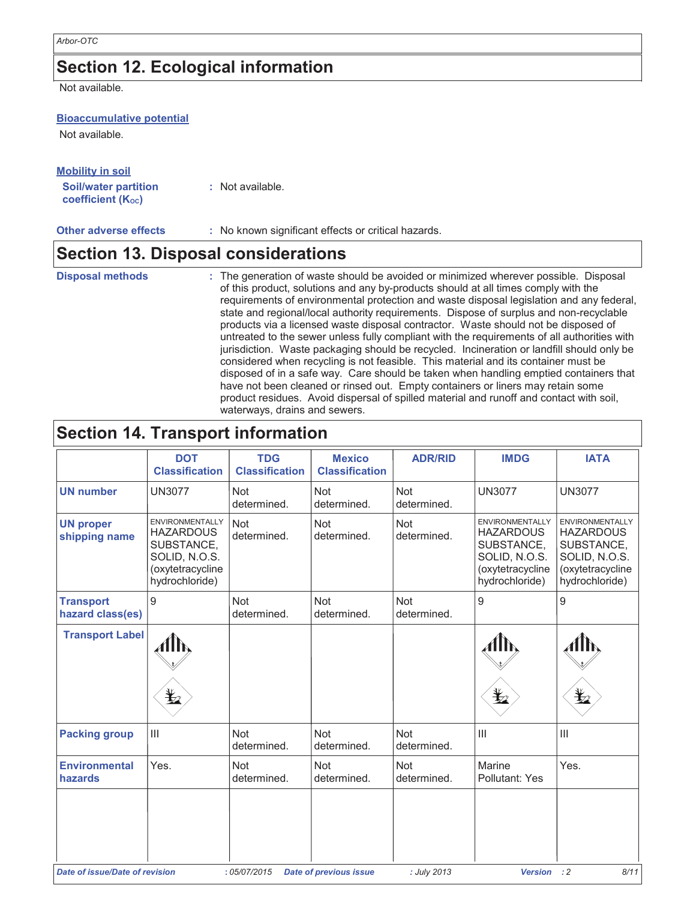### **Section 12. Ecological information**

Not available.

#### **Bioaccumulative potential**

Not available.

| <b>Mobility in soil</b>                                       |                  |
|---------------------------------------------------------------|------------------|
| <b>Soil/water partition</b><br>coefficient (K <sub>oc</sub> ) | : Not available. |

**Other adverse effects** : No known significant effects or critical hazards.

### **Section 13. Disposal considerations**

#### **Disposal methods** : The generation of waste should be avoided or minimized wherever possible. Disposal of this product, solutions and any by-products should at all times comply with the requirements of environmental protection and waste disposal legislation and any federal, state and regional/local authority requirements. Dispose of surplus and non-recyclable products via a licensed waste disposal contractor. Waste should not be disposed of untreated to the sewer unless fully compliant with the requirements of all authorities with jurisdiction. Waste packaging should be recycled. Incineration or landfill should only be considered when recycling is not feasible. This material and its container must be disposed of in a safe way. Care should be taken when handling emptied containers that have not been cleaned or rinsed out. Empty containers or liners may retain some product residues. Avoid dispersal of spilled material and runoff and contact with soil, waterways, drains and sewers.

### **Section 14. Transport information**

|                                       | <b>DOT</b><br><b>Classification</b>                                                                             | <b>TDG</b><br><b>Classification</b> | <b>Mexico</b><br><b>Classification</b> | <b>ADR/RID</b>            | <b>IMDG</b>                                                                                                     | <b>IATA</b>                                                                                                     |
|---------------------------------------|-----------------------------------------------------------------------------------------------------------------|-------------------------------------|----------------------------------------|---------------------------|-----------------------------------------------------------------------------------------------------------------|-----------------------------------------------------------------------------------------------------------------|
| <b>UN number</b>                      | <b>UN3077</b>                                                                                                   | <b>Not</b><br>determined.           | <b>Not</b><br>determined.              | <b>Not</b><br>determined. | <b>UN3077</b>                                                                                                   | <b>UN3077</b>                                                                                                   |
| <b>UN proper</b><br>shipping name     | <b>ENVIRONMENTALLY</b><br><b>HAZARDOUS</b><br>SUBSTANCE,<br>SOLID, N.O.S.<br>(oxytetracycline<br>hydrochloride) | <b>Not</b><br>determined.           | Not<br>determined.                     | Not<br>determined.        | <b>ENVIRONMENTALLY</b><br><b>HAZARDOUS</b><br>SUBSTANCE,<br>SOLID, N.O.S.<br>(oxytetracycline<br>hydrochloride) | <b>ENVIRONMENTALLY</b><br><b>HAZARDOUS</b><br>SUBSTANCE,<br>SOLID, N.O.S.<br>(oxytetracycline<br>hydrochloride) |
| <b>Transport</b><br>hazard class(es)  | $\overline{9}$                                                                                                  | <b>Not</b><br>determined.           | <b>Not</b><br>determined.              | <b>Not</b><br>determined. | $\boldsymbol{9}$                                                                                                | $9\,$                                                                                                           |
| <b>Transport Label</b>                | q                                                                                                               |                                     |                                        |                           | $\bigstar$                                                                                                      | $\mathbf{\Psi}$                                                                                                 |
| <b>Packing group</b>                  | $\mathbf{III}$                                                                                                  | <b>Not</b><br>determined.           | <b>Not</b><br>determined.              | Not<br>determined.        | $\begin{array}{c} \hline \end{array}$                                                                           | $\begin{array}{c} \hline \end{array}$                                                                           |
| <b>Environmental</b><br>hazards       | Yes.                                                                                                            | <b>Not</b><br>determined.           | <b>Not</b><br>determined.              | Not<br>determined.        | Marine<br>Pollutant: Yes                                                                                        | Yes.                                                                                                            |
| <b>Date of issue/Date of revision</b> |                                                                                                                 | : 05/07/2015                        | <b>Date of previous issue</b>          | : July 2013               | <b>Version</b>                                                                                                  | 8/11<br>: 2                                                                                                     |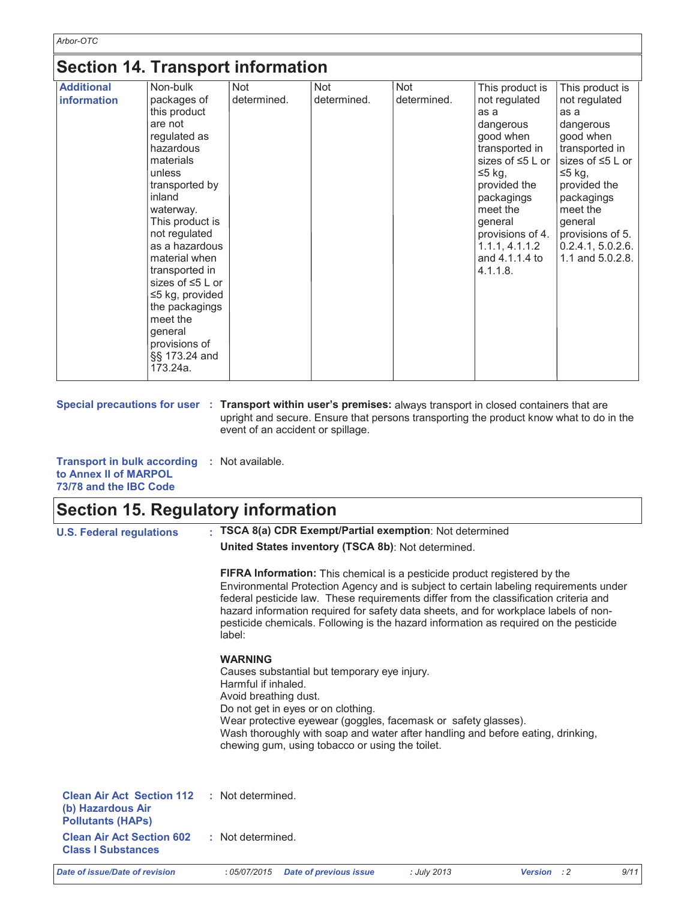### Section 14 Transport information

| <b>Jection Pt. Hansport Information</b> |                                                                                                                                                                                                                                                                                                                                                                                    |                           |                    |                    |                                                                                                                                                                                                                                                     |                                                                                                                                                                                                                                            |
|-----------------------------------------|------------------------------------------------------------------------------------------------------------------------------------------------------------------------------------------------------------------------------------------------------------------------------------------------------------------------------------------------------------------------------------|---------------------------|--------------------|--------------------|-----------------------------------------------------------------------------------------------------------------------------------------------------------------------------------------------------------------------------------------------------|--------------------------------------------------------------------------------------------------------------------------------------------------------------------------------------------------------------------------------------------|
| <b>Additional</b><br>information        | Non-bulk<br>packages of<br>this product<br>are not<br>regulated as<br>hazardous<br>materials<br>unless<br>transported by<br>inland<br>waterway.<br>This product is<br>not regulated<br>as a hazardous<br>material when<br>transported in<br>sizes of $\leq 5$ L or<br>$\leq$ 5 kg, provided<br>the packagings<br>meet the<br>general<br>provisions of<br>§§ 173.24 and<br>173.24a. | <b>Not</b><br>determined. | Not<br>determined. | Not<br>determined. | This product is<br>not regulated<br>as a<br>dangerous<br>good when<br>transported in<br>sizes of $\leq 5$ L or<br>$≤5$ kg,<br>provided the<br>packagings<br>meet the<br>general<br>provisions of 4.<br>1.1.1, 4.1.1.2<br>and 4.1.1.4 to<br>4.1.1.8. | This product is<br>not regulated<br>as a<br>dangerous<br>good when<br>transported in<br>sizes of $\leq 5$ L or<br>≤5 kg,<br>provided the<br>packagings<br>meet the<br>general<br>provisions of 5.<br>0.2.4.1, 5.0.2.6.<br>1.1 and 5.0.2.8. |

Special precautions for user : Transport within user's premises: always transport in closed containers that are upright and secure. Ensure that persons transporting the product know what to do in the event of an accident or spillage.

| <b>Transport in bulk according : Not available.</b> |  |
|-----------------------------------------------------|--|
| to Annex II of MARPOL                               |  |
| 73/78 and the IBC Code                              |  |

### Section 15. Regulatory information

| <b>U.S. Federal regulations</b>                                                   | : TSCA 8(a) CDR Exempt/Partial exemption: Not determined                                                                                                                                                                                                                                                                                                                                                                                                      |
|-----------------------------------------------------------------------------------|---------------------------------------------------------------------------------------------------------------------------------------------------------------------------------------------------------------------------------------------------------------------------------------------------------------------------------------------------------------------------------------------------------------------------------------------------------------|
|                                                                                   | United States inventory (TSCA 8b): Not determined.                                                                                                                                                                                                                                                                                                                                                                                                            |
|                                                                                   | <b>FIFRA Information:</b> This chemical is a pesticide product registered by the<br>Environmental Protection Agency and is subject to certain labeling requirements under<br>federal pesticide law. These requirements differ from the classification criteria and<br>hazard information required for safety data sheets, and for workplace labels of non-<br>pesticide chemicals. Following is the hazard information as required on the pesticide<br>label: |
|                                                                                   | <b>WARNING</b><br>Causes substantial but temporary eye injury.<br>Harmful if inhaled.<br>Avoid breathing dust.<br>Do not get in eyes or on clothing.<br>Wear protective eyewear (goggles, facemask or safety glasses).<br>Wash thoroughly with soap and water after handling and before eating, drinking,<br>chewing gum, using tobacco or using the toilet.                                                                                                  |
| <b>Clean Air Act Section 112</b><br>(b) Hazardous Air<br><b>Pollutants (HAPs)</b> | : Not determined.                                                                                                                                                                                                                                                                                                                                                                                                                                             |
| <b>Clean Air Act Section 602</b><br><b>Class I Substances</b>                     | : Not determined.                                                                                                                                                                                                                                                                                                                                                                                                                                             |

Date of issue/Date of revision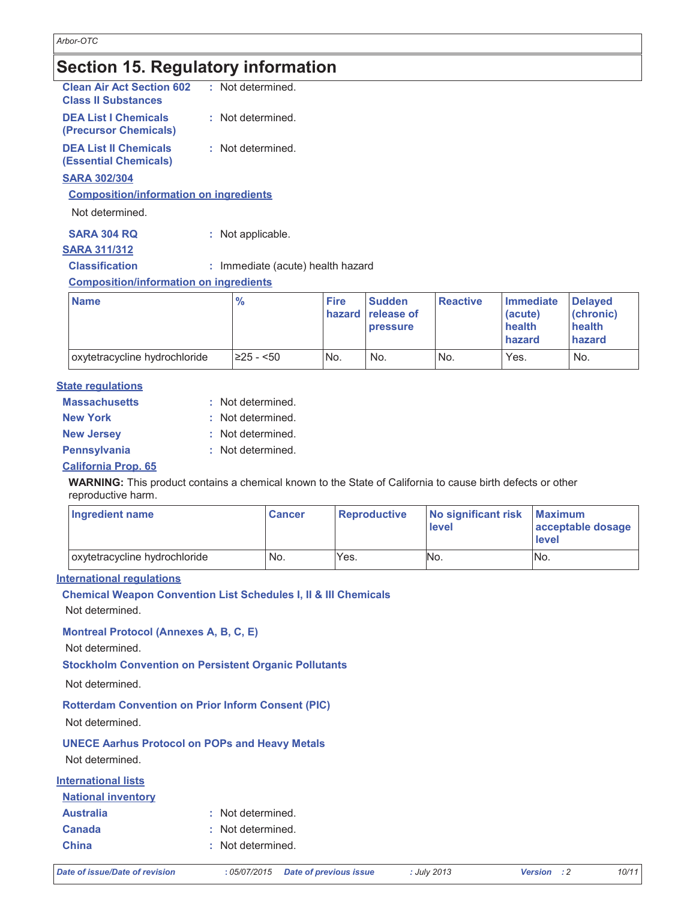### **Section 15. Regulatory information**

| <b>Clean Air Act Section 602</b><br><b>Class II Substances</b> | : Not determined. |
|----------------------------------------------------------------|-------------------|
| <b>DEA List I Chemicals</b><br>(Precursor Chemicals)           | : Not determined. |
| <b>DEA List II Chemicals</b><br>(Essential Chemicals)          | : Not determined. |
| <b>SARA 302/304</b>                                            |                   |

#### **Composition/information on ingredients**

Not determined.

**SARA 304 RQ** : Not applicable.

### **SARA 311/312 Classification**

: Immediate (acute) health hazard

**Composition/information on ingredients** 

| <b>Name</b>                   | $\frac{9}{6}$   | <b>Fire</b> | <b>Sudden</b><br>hazard release of<br><b>pressure</b> | <b>Reactive</b> | Immediate<br>(acute)<br>health<br><b>I</b> hazard | <b>Delaved</b><br>(chronic)<br>health<br>hazard |
|-------------------------------|-----------------|-------------|-------------------------------------------------------|-----------------|---------------------------------------------------|-------------------------------------------------|
| oxytetracycline hydrochloride | $\geq$ 25 - <50 | No.         | No.                                                   | No.             | Yes.                                              | No.                                             |

#### **State regulations**

| <b>Massachusetts</b> | : Not determined. |
|----------------------|-------------------|
| <b>New York</b>      | : Not determined. |
| <b>New Jersey</b>    | : Not determined. |
| Pennsylvania         | : Not determined. |
|                      |                   |

#### **California Prop. 65**

WARNING: This product contains a chemical known to the State of California to cause birth defects or other reproductive harm.

| <b>Ingredient name</b>        | <b>Cancer</b> | Reproductive | No significant risk<br>level | <b>Maximum</b><br>acceptable dosage<br>level |
|-------------------------------|---------------|--------------|------------------------------|----------------------------------------------|
| oxytetracycline hydrochloride | No.           | Yes.         | No.                          | No.                                          |

#### **International regulations**

**Chemical Weapon Convention List Schedules I, II & III Chemicals** 

Not determined.

#### **Montreal Protocol (Annexes A, B, C, E)**

Not determined.

**Stockholm Convention on Persistent Organic Pollutants** 

Not determined.

**Rotterdam Convention on Prior Inform Consent (PIC)** 

Not determined.

**UNECE Aarhus Protocol on POPs and Heavy Metals** Not determined.

**International lists** 

| <b>National inventory</b> |                   |
|---------------------------|-------------------|
| <b>Australia</b>          | : Not determined. |
| <b>Canada</b>             | : Not determined. |
| <b>China</b>              | : Not determined. |